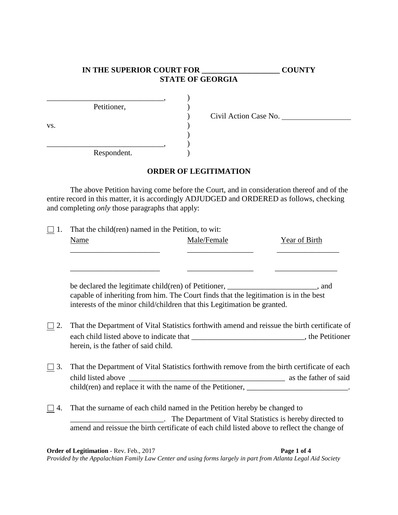# **IN THE SUPERIOR COURT FOR \_\_\_\_\_\_\_\_\_\_\_\_\_\_\_\_\_\_\_\_ COUNTY STATE OF GEORGIA**

|     | Petitioner, |  |
|-----|-------------|--|
| VS. |             |  |
|     |             |  |
|     | Respondent. |  |

) Civil Action Case No.

### **ORDER OF LEGITIMATION**

The above Petition having come before the Court, and in consideration thereof and of the entire record in this matter, it is accordingly ADJUDGED and ORDERED as follows, checking and completing *only* those paragraphs that apply:

|           | That the child(ren) named in the Petition, to wit:                                           |             |                                                             |  |  |
|-----------|----------------------------------------------------------------------------------------------|-------------|-------------------------------------------------------------|--|--|
|           | Name                                                                                         | Male/Female | Year of Birth                                               |  |  |
|           |                                                                                              |             | the control of the control of the control of the control of |  |  |
|           |                                                                                              |             |                                                             |  |  |
|           |                                                                                              |             |                                                             |  |  |
|           | be declared the legitimate child(ren) of Petitioner, ______________________, and             |             |                                                             |  |  |
|           | capable of inheriting from him. The Court finds that the legitimation is in the best         |             |                                                             |  |  |
|           | interests of the minor child/children that this Legitimation be granted.                     |             |                                                             |  |  |
|           |                                                                                              |             |                                                             |  |  |
| 2.        | That the Department of Vital Statistics forthwith amend and reissue the birth certificate of |             |                                                             |  |  |
|           | each child listed above to indicate that _________________________________, the Petitioner   |             |                                                             |  |  |
|           | herein, is the father of said child.                                                         |             |                                                             |  |  |
|           |                                                                                              |             |                                                             |  |  |
| $\Box$ 3. | That the Department of Vital Statistics forthwith remove from the birth certificate of each  |             |                                                             |  |  |
|           |                                                                                              |             |                                                             |  |  |
|           | child(ren) and replace it with the name of the Petitioner, ____________________________.     |             |                                                             |  |  |
|           |                                                                                              |             |                                                             |  |  |
| 4.        | That the surname of each child named in the Petition hereby be changed to                    |             |                                                             |  |  |
|           | ______. The Department of Vital Statistics is hereby directed to                             |             |                                                             |  |  |
|           | amend and reissue the birth certificate of each child listed above to reflect the change of  |             |                                                             |  |  |
|           |                                                                                              |             |                                                             |  |  |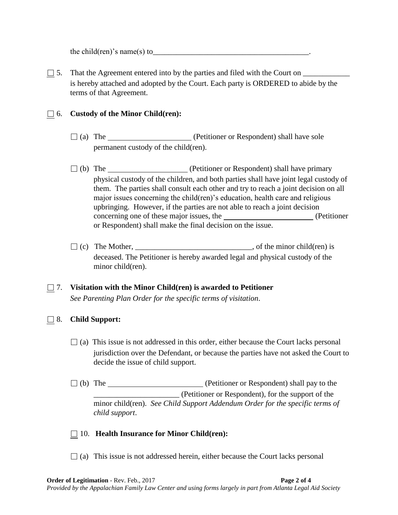the child(ren)'s name(s) to

 $\Box$  5. That the Agreement entered into by the parties and filed with the Court on  $\Box$ is hereby attached and adopted by the Court. Each party is ORDERED to abide by the terms of that Agreement.

#### □ 6. **Custody of the Minor Child(ren):**

- $\Box$  (a) The (Petitioner or Respondent) shall have sole permanent custody of the child(ren).
- □ (b) The <u>contract and the contract of</u> (Petitioner or Respondent) shall have primary physical custody of the children, and both parties shall have joint legal custody of them. The parties shall consult each other and try to reach a joint decision on all major issues concerning the child(ren)'s education, health care and religious upbringing. However, if the parties are not able to reach a joint decision concerning one of these major issues, the (Petitioner or Respondent) shall make the final decision on the issue.
- $\Box$  (c) The Mother, \_\_\_\_\_\_\_\_\_\_\_\_\_\_\_\_\_\_\_\_\_\_\_\_\_, of the minor child(ren) is deceased. The Petitioner is hereby awarded legal and physical custody of the minor child(ren).

### □ 7. **Visitation with the Minor Child(ren) is awarded to Petitioner** *See Parenting Plan Order for the specific terms of visitation*.

#### □ 8. **Child Support:**

- $\Box$  (a) This issue is not addressed in this order, either because the Court lacks personal jurisdiction over the Defendant, or because the parties have not asked the Court to decide the issue of child support.
- □ (b) The <u>contract contract (Petitioner</u> or Respondent) shall pay to the \_\_\_\_\_\_\_\_\_\_\_\_\_\_\_\_\_\_\_\_\_\_ (Petitioner or Respondent), for the support of the minor child(ren). *See Child Support Addendum Order for the specific terms of child support*.

#### □ 10. **Health Insurance for Minor Child(ren):**

 $\Box$  (a) This issue is not addressed herein, either because the Court lacks personal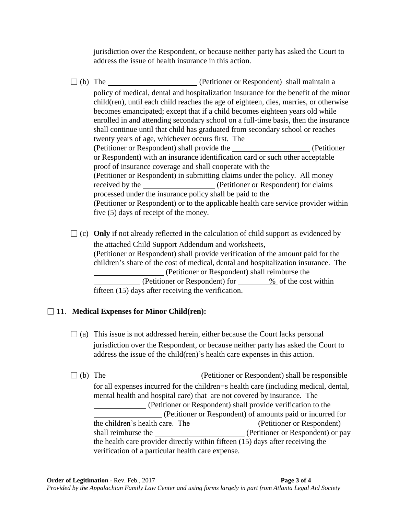jurisdiction over the Respondent, or because neither party has asked the Court to address the issue of health insurance in this action.

□ (b) The <u>contract of</u> (Petitioner or Respondent) shall maintain a policy of medical, dental and hospitalization insurance for the benefit of the minor child(ren), until each child reaches the age of eighteen, dies, marries, or otherwise becomes emancipated; except that if a child becomes eighteen years old while enrolled in and attending secondary school on a full-time basis, then the insurance shall continue until that child has graduated from secondary school or reaches twenty years of age, whichever occurs first. The (Petitioner or Respondent) shall provide the (Petitioner or Respondent) with an insurance identification card or such other acceptable proof of insurance coverage and shall cooperate with the (Petitioner or Respondent) in submitting claims under the policy. All money received by the (Petitioner or Respondent) for claims processed under the insurance policy shall be paid to the (Petitioner or Respondent) or to the applicable health care service provider within five (5) days of receipt of the money.

 $\Box$  (c) **Only** if not already reflected in the calculation of child support as evidenced by the attached Child Support Addendum and worksheets, (Petitioner or Respondent) shall provide verification of the amount paid for the children's share of the cost of medical, dental and hospitalization insurance. The (Petitioner or Respondent) shall reimburse the (Petitioner or Respondent) for <u>%</u> of the cost within fifteen (15) days after receiving the verification.

# □ 11. **Medical Expenses for Minor Child(ren):**

- $\Box$  (a) This issue is not addressed herein, either because the Court lacks personal jurisdiction over the Respondent, or because neither party has asked the Court to address the issue of the child(ren)'s health care expenses in this action.
- $\Box$  (b) The  $\Box$  (Petitioner or Respondent) shall be responsible for all expenses incurred for the children=s health care (including medical, dental, mental health and hospital care) that are not covered by insurance. The (Petitioner or Respondent) shall provide verification to the (Petitioner or Respondent) of amounts paid or incurred for the children's health care. The \_\_\_\_\_\_\_\_\_\_\_\_\_\_\_\_(Petitioner or Respondent) shall reimburse the (Petitioner or Respondent) or pay the health care provider directly within fifteen (15) days after receiving the verification of a particular health care expense.